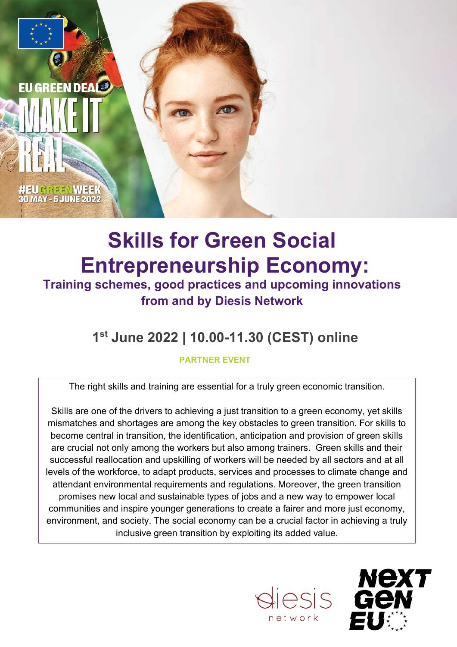

# **Skills for Green Social Entrepreneurship Economy:**

**Training schemes, good practices and upcoming innovations from and by Diesis Network**

## **1st June 2022 | 10.00-11.30 (CEST) online**

### **PARTNER EVENT**

The right skills and training are essential for a truly green economic transition.

Skills are one of the drivers to achieving a just transition to a green economy, yet skills mismatches and shortages are among the key obstacles to green transition. For skills to become central in transition, the identification, anticipation and provision of green skills are crucial not only among the workers but also among trainers. Green skills and their successful reallocation and upskilling of workers will be needed by all sectors and at all levels of the workforce, to adapt products, services and processes to climate change and attendant environmental requirements and regulations. Moreover, the green transition promises new local and sustainable types of jobs and a new way to empower local communities and inspire younger generations to create a fairer and more just economy, environment, and society. The social economy can be a crucial factor in achieving a truly inclusive green transition by exploiting its added value.